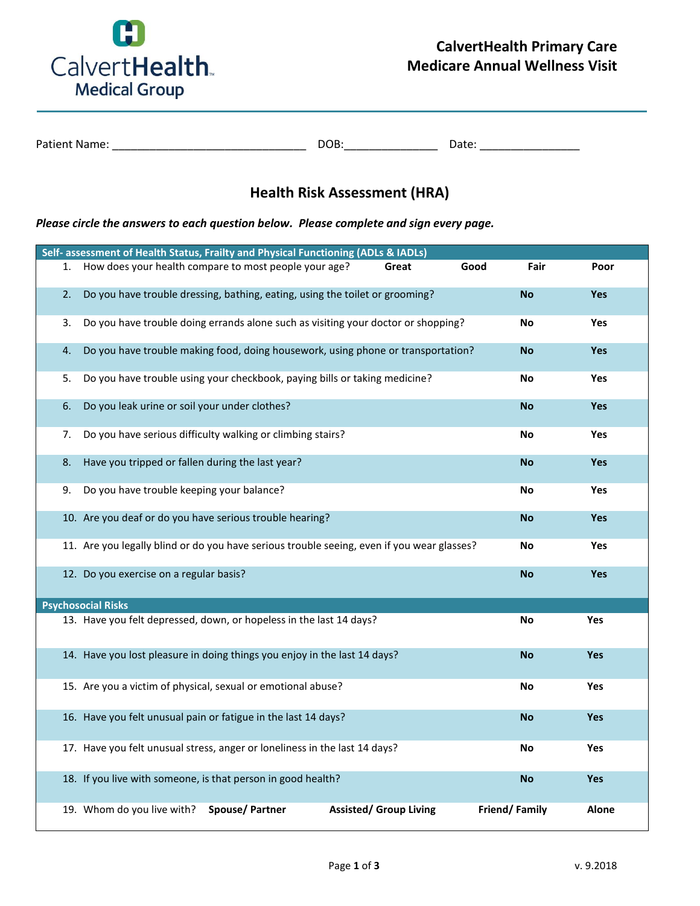

| <b>Patient Name:</b> | ነበP |       |
|----------------------|-----|-------|
|                      | .   | ⊃ate: |

## **Health Risk Assessment (HRA)**

*Please circle the answers to each question below. Please complete and sign every page.*

|    | Self- assessment of Health Status, Frailty and Physical Functioning (ADLs & IADLs)         |                       |                               |      |               |              |
|----|--------------------------------------------------------------------------------------------|-----------------------|-------------------------------|------|---------------|--------------|
| 1. | How does your health compare to most people your age?                                      |                       | Great                         | Good | Fair          | Poor         |
| 2. | Do you have trouble dressing, bathing, eating, using the toilet or grooming?               |                       |                               |      | <b>No</b>     | <b>Yes</b>   |
| 3. | Do you have trouble doing errands alone such as visiting your doctor or shopping?          |                       |                               |      | No            | Yes          |
| 4. | Do you have trouble making food, doing housework, using phone or transportation?           |                       |                               |      | No            | <b>Yes</b>   |
| 5. | Do you have trouble using your checkbook, paying bills or taking medicine?                 |                       |                               |      | No            | Yes          |
| 6. | Do you leak urine or soil your under clothes?                                              |                       |                               |      | <b>No</b>     | <b>Yes</b>   |
| 7. | Do you have serious difficulty walking or climbing stairs?                                 |                       |                               |      | No            | <b>Yes</b>   |
| 8. | Have you tripped or fallen during the last year?                                           |                       |                               |      | No            | <b>Yes</b>   |
| 9. | Do you have trouble keeping your balance?                                                  |                       |                               |      | No            | Yes          |
|    | 10. Are you deaf or do you have serious trouble hearing?                                   |                       |                               |      | <b>No</b>     | <b>Yes</b>   |
|    | 11. Are you legally blind or do you have serious trouble seeing, even if you wear glasses? |                       |                               |      | No            | <b>Yes</b>   |
|    | 12. Do you exercise on a regular basis?                                                    |                       |                               |      | <b>No</b>     | <b>Yes</b>   |
|    | <b>Psychosocial Risks</b>                                                                  |                       |                               |      |               |              |
|    | 13. Have you felt depressed, down, or hopeless in the last 14 days?                        |                       |                               |      | No            | Yes          |
|    | 14. Have you lost pleasure in doing things you enjoy in the last 14 days?                  |                       |                               |      | <b>No</b>     | <b>Yes</b>   |
|    | 15. Are you a victim of physical, sexual or emotional abuse?                               |                       |                               |      | No            | <b>Yes</b>   |
|    | 16. Have you felt unusual pain or fatigue in the last 14 days?                             |                       |                               |      | <b>No</b>     | <b>Yes</b>   |
|    | 17. Have you felt unusual stress, anger or loneliness in the last 14 days?                 |                       |                               |      | No            | Yes          |
|    | 18. If you live with someone, is that person in good health?                               |                       |                               |      | <b>No</b>     | <b>Yes</b>   |
|    | 19. Whom do you live with?                                                                 | <b>Spouse/Partner</b> | <b>Assisted/ Group Living</b> |      | Friend/Family | <b>Alone</b> |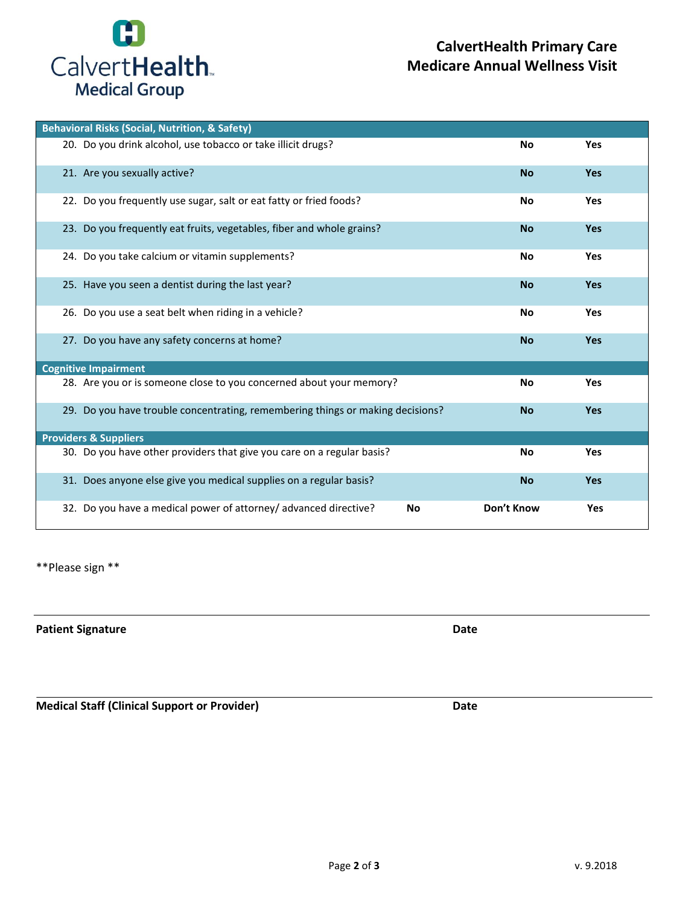

| <b>Behavioral Risks (Social, Nutrition, &amp; Safety)</b>                      |            |            |  |  |  |
|--------------------------------------------------------------------------------|------------|------------|--|--|--|
| 20. Do you drink alcohol, use tobacco or take illicit drugs?                   | No         | Yes        |  |  |  |
| 21. Are you sexually active?                                                   | <b>No</b>  | <b>Yes</b> |  |  |  |
| 22. Do you frequently use sugar, salt or eat fatty or fried foods?             | <b>No</b>  | Yes        |  |  |  |
| 23. Do you frequently eat fruits, vegetables, fiber and whole grains?          | <b>No</b>  | Yes        |  |  |  |
| 24. Do you take calcium or vitamin supplements?                                | No         | Yes        |  |  |  |
| 25. Have you seen a dentist during the last year?                              | <b>No</b>  | <b>Yes</b> |  |  |  |
| 26. Do you use a seat belt when riding in a vehicle?                           | No         | Yes        |  |  |  |
| 27. Do you have any safety concerns at home?                                   | <b>No</b>  | <b>Yes</b> |  |  |  |
| <b>Cognitive Impairment</b>                                                    |            |            |  |  |  |
| 28. Are you or is someone close to you concerned about your memory?            | No         | Yes        |  |  |  |
| 29. Do you have trouble concentrating, remembering things or making decisions? | <b>No</b>  | <b>Yes</b> |  |  |  |
| <b>Providers &amp; Suppliers</b>                                               |            |            |  |  |  |
| 30. Do you have other providers that give you care on a regular basis?         | No         | Yes        |  |  |  |
| 31. Does anyone else give you medical supplies on a regular basis?             | <b>No</b>  | <b>Yes</b> |  |  |  |
| 32. Do you have a medical power of attorney/ advanced directive?<br>No         | Don't Know | Yes        |  |  |  |

\*\*Please sign \*\*

**Patient Signature Date** 

**Medical Staff (Clinical Support or Provider) Date**